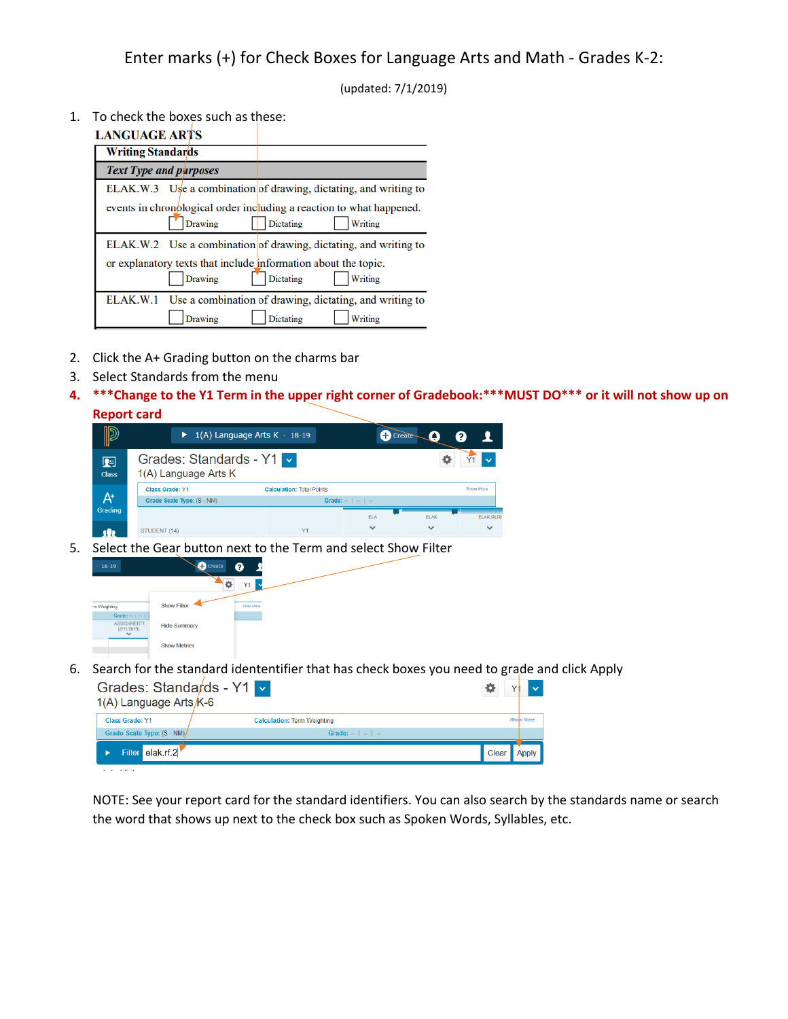(updated: 7/1/2019)

1. To check the boxes such as these:

## **LANCHACE ARTS**

| LANU/AUL AAID                 |                |                                                                                              |
|-------------------------------|----------------|----------------------------------------------------------------------------------------------|
| <b>Writing Standards</b>      |                |                                                                                              |
| <b>Text Type and purposes</b> |                |                                                                                              |
|                               |                | ELAK.W.3 Use a combination of drawing, dictating, and writing to                             |
|                               | <b>Drawing</b> | events in chronological order including a reaction to what happened.<br>Dictating<br>Writing |
|                               |                | ELAK.W.2 Use a combination of drawing, dictating, and writing to                             |
|                               |                | or explanatory texts that include information about the topic.                               |
|                               | Drawing        | Dictating<br>Writing                                                                         |
|                               |                | ELAK.W.1 Use a combination of drawing, dictating, and writing to                             |
|                               | Drawing        | Writing<br><b>Dictating</b>                                                                  |

- 2. Click the A+ Grading button on the charms bar
- 3. Select Standards from the menu
- **4. \*\*\*Change to the Y1 Term in the upper right corner of Gradebook:\*\*\*MUST DO\*\*\* or it will not show up on**



5. Select the Gear button next to the Term and select Show Filter



6. Search for the standard idententifier that has check boxes you need to grade and click Apply

| Grades: Standards - Y1 v<br>1(A) Language Arts $K$ -6 |                                    |           |
|-------------------------------------------------------|------------------------------------|-----------|
| <b>Class Grade: Y1</b>                                | <b>Calculation: Term Weighting</b> | Show More |
| Grade Scale Type: (S - NM)                            | Grade: $-$   $-$   $-$             |           |
| Filter elak.rf.2                                      |                                    | Clear     |
| <b>COLLEGE</b>                                        |                                    |           |

NOTE: See your report card for the standard identifiers. You can also search by the standards name or search the word that shows up next to the check box such as Spoken Words, Syllables, etc.